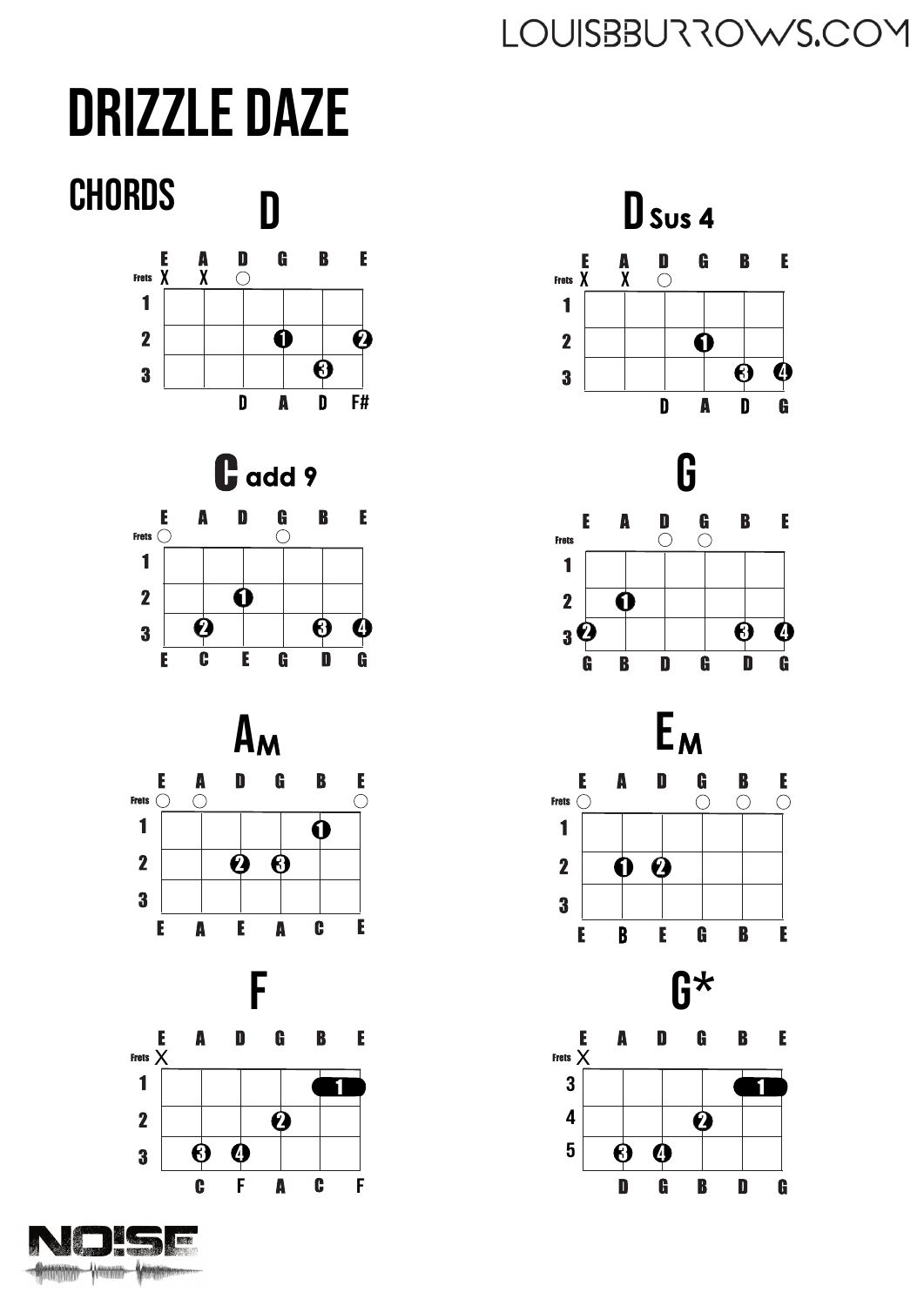# **DRIZZLE DAZE**



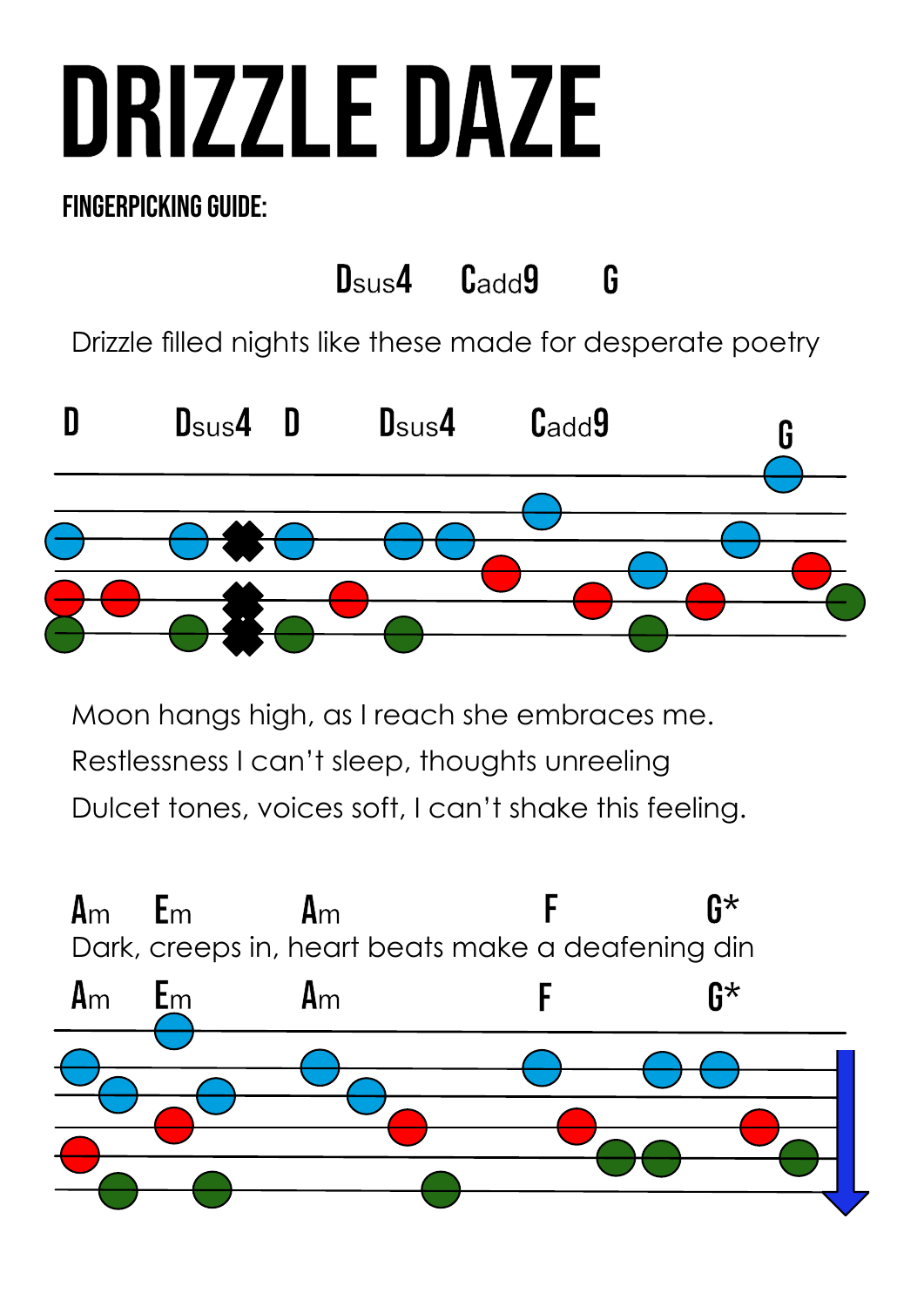# Drizzle Daze

### Fingerpicking guide:



Moon hangs high, as I reach she embraces me. Restlessness I can't sleep, thoughts unreeling Dulcet tones, voices soft, I can't shake this feeling.

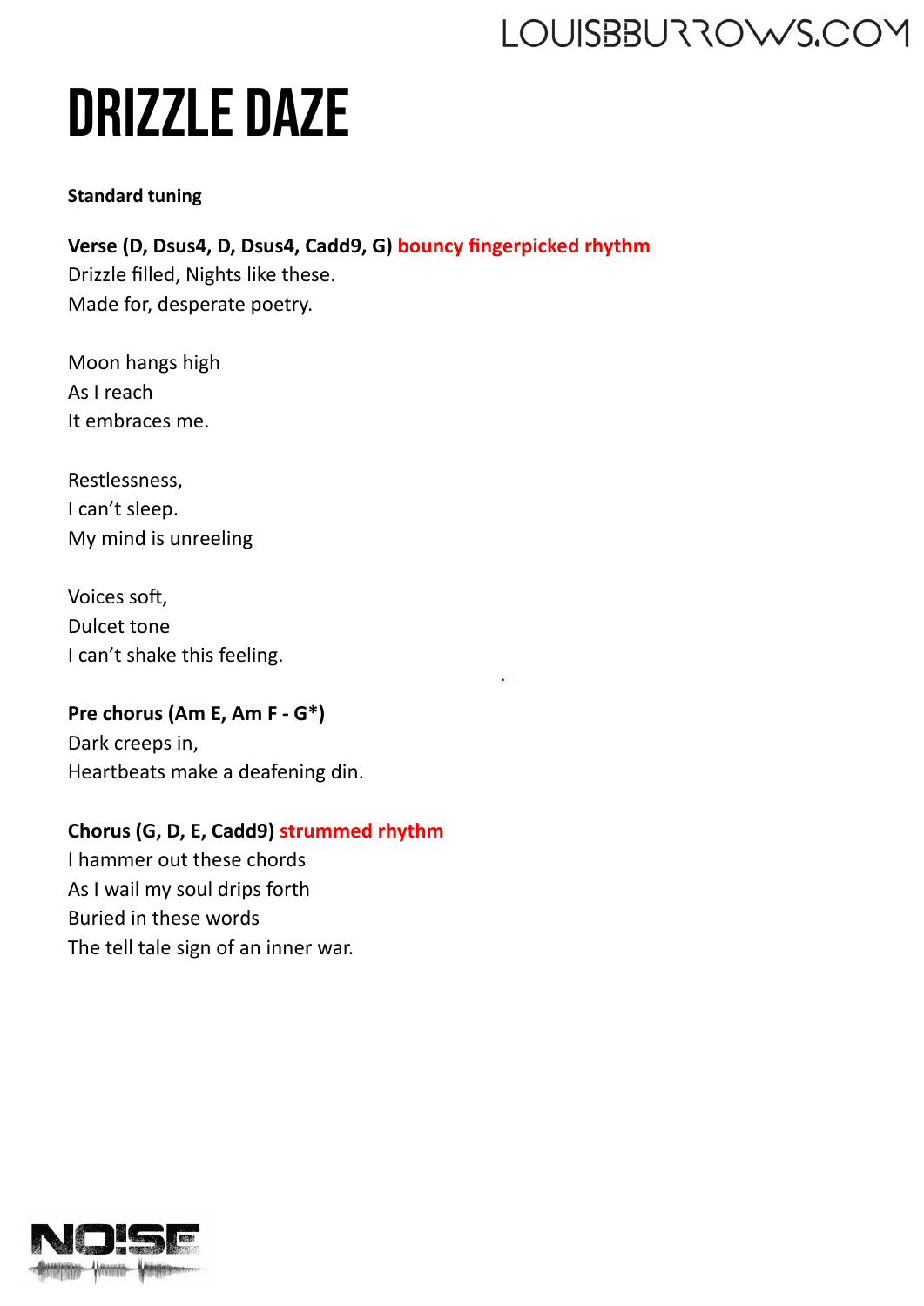# Drizzle Daze

#### **Standard tuning**

**Verse (D, Dsus4, D, Dsus4, Cadd9, G) bouncy fingerpicked rhythm** Drizzle filled, Nights like these. Made for, desperate poetry.

.

Moon hangs high As I reach It embraces me.

Restlessness, I can't sleep. My mind is unreeling

Voices soft, Dulcet tone I can't shake this feeling.

#### **Pre chorus (Am E, Am F - G\*)** Dark creeps in, Heartbeats make a deafening din.

#### **Chorus (G, D, E, Cadd9) strummed rhythm**

I hammer out these chords As I wail my soul drips forth Buried in these words The tell tale sign of an inner war.

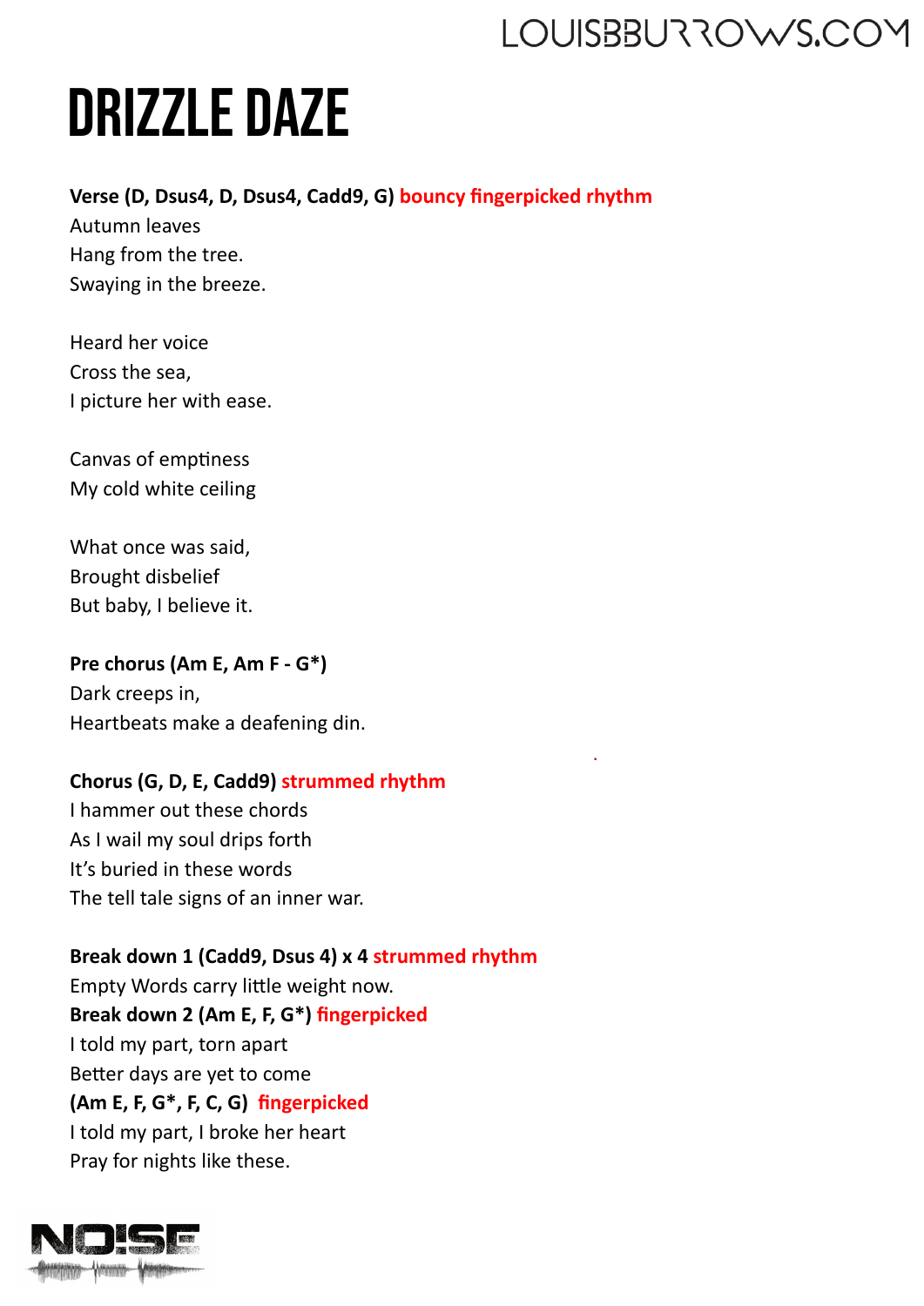.

# Drizzle Daze

#### **Verse (D, Dsus4, D, Dsus4, Cadd9, G) bouncy fingerpicked rhythm** .

Autumn leaves Hang from the tree. Swaying in the breeze.

Heard her voice Cross the sea, I picture her with ease.

Canvas of emptiness My cold white ceiling

What once was said, Brought disbelief But baby, I believe it.

**Pre chorus (Am E, Am F - G\*)** Dark creeps in, Heartbeats make a deafening din.

#### **Chorus (G, D, E, Cadd9) strummed rhythm**

I hammer out these chords As I wail my soul drips forth It's buried in these words The tell tale signs of an inner war.

**Break down 1 (Cadd9, Dsus 4) x 4 strummed rhythm** Empty Words carry little weight now. **Break down 2 (Am E, F, G\*) fingerpicked** I told my part, torn apart Better days are yet to come **(Am E, F, G\*, F, C, G) fingerpicked** I told my part, I broke her heart Pray for nights like these.